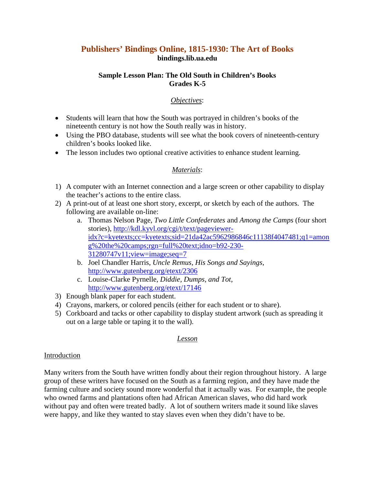# **Publishers' Bindings Online, 1815-1930: The Art of Books bindings.lib.ua.edu**

#### **Sample Lesson Plan: The Old South in Children's Books Grades K-5**

# *Objectives*:

- Students will learn that how the South was portrayed in children's books of the nineteenth century is not how the South really was in history.
- Using the PBO database, students will see what the book covers of nineteenth-century children's books looked like.
- The lesson includes two optional creative activities to enhance student learning.

# *Materials*:

- 1) A computer with an Internet connection and a large screen or other capability to display the teacher's actions to the entire class.
- 2) A print-out of at least one short story, excerpt, or sketch by each of the authors. The following are available on-line:
	- a. Thomas Nelson Page, *Two Little Confederates* and *Among the Camps* (four short stories), http://kdl.kyvl.org/cgi/t/text/pagevieweridx?c=kyetexts;cc=kyetexts;sid=21da42ac5962986846c11138f4047481;q1=amon g%20the%20camps;rgn=full%20text;idno=b92-230- 31280747v11;view=image;seq=7
	- b. Joel Chandler Harris, *Uncle Remus, His Songs and Sayings*, http://www.gutenberg.org/etext/2306
	- c. Louise-Clarke Pyrnelle, *Diddie, Dumps, and Tot*, http://www.gutenberg.org/etext/17146
- 3) Enough blank paper for each student.
- 4) Crayons, markers, or colored pencils (either for each student or to share).
- 5) Corkboard and tacks or other capability to display student artwork (such as spreading it out on a large table or taping it to the wall).

## *Lesson*

## Introduction

Many writers from the South have written fondly about their region throughout history. A large group of these writers have focused on the South as a farming region, and they have made the farming culture and society sound more wonderful that it actually was. For example, the people who owned farms and plantations often had African American slaves, who did hard work without pay and often were treated badly. A lot of southern writers made it sound like slaves were happy, and like they wanted to stay slaves even when they didn't have to be.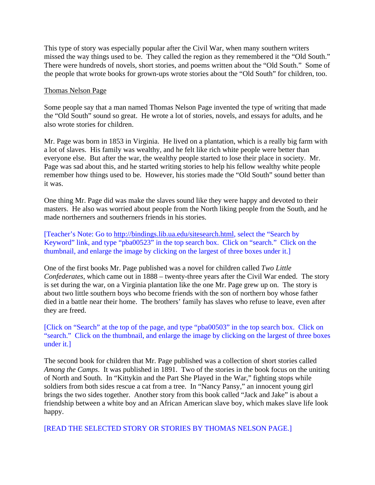This type of story was especially popular after the Civil War, when many southern writers missed the way things used to be. They called the region as they remembered it the "Old South." There were hundreds of novels, short stories, and poems written about the "Old South." Some of the people that wrote books for grown-ups wrote stories about the "Old South" for children, too.

#### Thomas Nelson Page

Some people say that a man named Thomas Nelson Page invented the type of writing that made the "Old South" sound so great. He wrote a lot of stories, novels, and essays for adults, and he also wrote stories for children.

Mr. Page was born in 1853 in Virginia. He lived on a plantation, which is a really big farm with a lot of slaves. His family was wealthy, and he felt like rich white people were better than everyone else. But after the war, the wealthy people started to lose their place in society. Mr. Page was sad about this, and he started writing stories to help his fellow wealthy white people remember how things used to be. However, his stories made the "Old South" sound better than it was.

One thing Mr. Page did was make the slaves sound like they were happy and devoted to their masters. He also was worried about people from the North liking people from the South, and he made northerners and southerners friends in his stories.

[Teacher's Note: Go to http://bindings.lib.ua.edu/sitesearch.html, select the "Search by Keyword" link, and type "pba00523" in the top search box. Click on "search." Click on the thumbnail, and enlarge the image by clicking on the largest of three boxes under it.]

One of the first books Mr. Page published was a novel for children called *Two Little Confederates*, which came out in 1888 – twenty-three years after the Civil War ended. The story is set during the war, on a Virginia plantation like the one Mr. Page grew up on. The story is about two little southern boys who become friends with the son of northern boy whose father died in a battle near their home. The brothers' family has slaves who refuse to leave, even after they are freed.

[Click on "Search" at the top of the page, and type "pba00503" in the top search box. Click on "search." Click on the thumbnail, and enlarge the image by clicking on the largest of three boxes under it.]

The second book for children that Mr. Page published was a collection of short stories called *Among the Camps*. It was published in 1891. Two of the stories in the book focus on the uniting of North and South. In "Kittykin and the Part She Played in the War," fighting stops while soldiers from both sides rescue a cat from a tree. In "Nancy Pansy," an innocent young girl brings the two sides together. Another story from this book called "Jack and Jake" is about a friendship between a white boy and an African American slave boy, which makes slave life look happy.

[READ THE SELECTED STORY OR STORIES BY THOMAS NELSON PAGE.]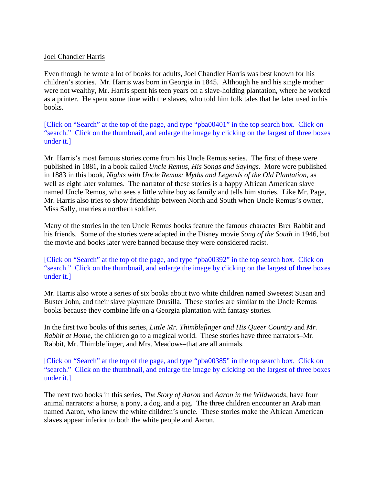#### Joel Chandler Harris

Even though he wrote a lot of books for adults, Joel Chandler Harris was best known for his children's stories. Mr. Harris was born in Georgia in 1845. Although he and his single mother were not wealthy, Mr. Harris spent his teen years on a slave-holding plantation, where he worked as a printer. He spent some time with the slaves, who told him folk tales that he later used in his books.

[Click on "Search" at the top of the page, and type "pba00401" in the top search box. Click on "search." Click on the thumbnail, and enlarge the image by clicking on the largest of three boxes under it.]

Mr. Harris's most famous stories come from his Uncle Remus series. The first of these were published in 1881, in a book called *Uncle Remus, His Songs and Sayings.* More were published in 1883 in this book, *Nights with Uncle Remus: Myths and Legends of the Old Plantation*, as well as eight later volumes. The narrator of these stories is a happy African American slave named Uncle Remus, who sees a little white boy as family and tells him stories. Like Mr. Page, Mr. Harris also tries to show friendship between North and South when Uncle Remus's owner, Miss Sally, marries a northern soldier.

Many of the stories in the ten Uncle Remus books feature the famous character Brer Rabbit and his friends. Some of the stories were adapted in the Disney movie *Song of the South* in 1946, but the movie and books later were banned because they were considered racist.

[Click on "Search" at the top of the page, and type "pba00392" in the top search box. Click on "search." Click on the thumbnail, and enlarge the image by clicking on the largest of three boxes under it.]

Mr. Harris also wrote a series of six books about two white children named Sweetest Susan and Buster John, and their slave playmate Drusilla. These stories are similar to the Uncle Remus books because they combine life on a Georgia plantation with fantasy stories.

In the first two books of this series, *Little Mr. Thimblefinger and His Queer Country* and *Mr. Rabbit at Home*, the children go to a magical world. These stories have three narrators–Mr. Rabbit, Mr. Thimblefinger, and Mrs. Meadows–that are all animals.

[Click on "Search" at the top of the page, and type "pba00385" in the top search box. Click on "search." Click on the thumbnail, and enlarge the image by clicking on the largest of three boxes under it.]

The next two books in this series, *The Story of Aaron* and *Aaron in the Wildwoods*, have four animal narrators: a horse, a pony, a dog, and a pig. The three children encounter an Arab man named Aaron, who knew the white children's uncle. These stories make the African American slaves appear inferior to both the white people and Aaron.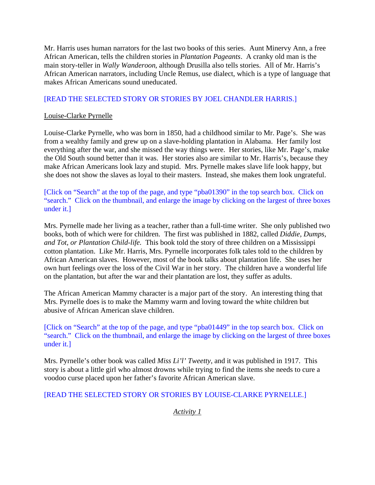Mr. Harris uses human narrators for the last two books of this series. Aunt Minervy Ann, a free African American, tells the children stories in *Plantation Pageants*. A cranky old man is the main story-teller in *Wally Wanderoon*, although Drusilla also tells stories. All of Mr. Harris's African American narrators, including Uncle Remus, use dialect, which is a type of language that makes African Americans sound uneducated.

# [READ THE SELECTED STORY OR STORIES BY JOEL CHANDLER HARRIS.]

#### Louise-Clarke Pyrnelle

Louise-Clarke Pyrnelle, who was born in 1850, had a childhood similar to Mr. Page's. She was from a wealthy family and grew up on a slave-holding plantation in Alabama. Her family lost everything after the war, and she missed the way things were. Her stories, like Mr. Page's, make the Old South sound better than it was. Her stories also are similar to Mr. Harris's, because they make African Americans look lazy and stupid. Mrs. Pyrnelle makes slave life look happy, but she does not show the slaves as loyal to their masters. Instead, she makes them look ungrateful.

[Click on "Search" at the top of the page, and type "pba01390" in the top search box. Click on "search." Click on the thumbnail, and enlarge the image by clicking on the largest of three boxes under it.]

Mrs. Pyrnelle made her living as a teacher, rather than a full-time writer. She only published two books, both of which were for children. The first was published in 1882, called *Diddie, Dumps, and Tot, or Plantation Child-life.* This book told the story of three children on a Mississippi cotton plantation. Like Mr. Harris, Mrs. Pyrnelle incorporates folk tales told to the children by African American slaves. However, most of the book talks about plantation life. She uses her own hurt feelings over the loss of the Civil War in her story. The children have a wonderful life on the plantation, but after the war and their plantation are lost, they suffer as adults.

The African American Mammy character is a major part of the story. An interesting thing that Mrs. Pyrnelle does is to make the Mammy warm and loving toward the white children but abusive of African American slave children.

[Click on "Search" at the top of the page, and type "pba01449" in the top search box. Click on "search." Click on the thumbnail, and enlarge the image by clicking on the largest of three boxes under it.]

Mrs. Pyrnelle's other book was called *Miss Li'l' Tweetty*, and it was published in 1917. This story is about a little girl who almost drowns while trying to find the items she needs to cure a voodoo curse placed upon her father's favorite African American slave.

## [READ THE SELECTED STORY OR STORIES BY LOUISE-CLARKE PYRNELLE.]

*Activity 1*